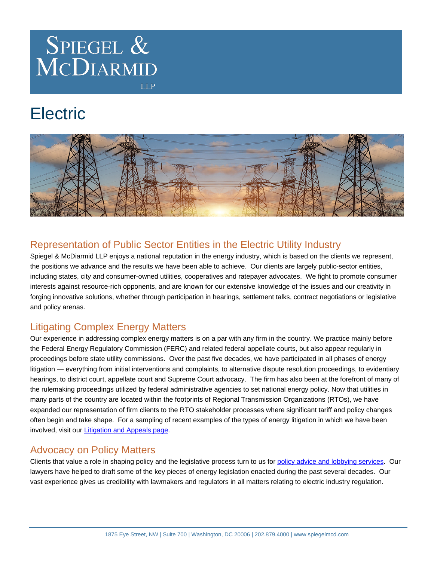

**LLP** 

# **Electric**



# Representation of Public Sector Entities in the Electric Utility Industry

Spiegel & McDiarmid LLP enjoys a national reputation in the energy industry, which is based on the clients we represent, the positions we advance and the results we have been able to achieve. Our clients are largely public-sector entities, including states, city and consumer-owned utilities, cooperatives and ratepayer advocates. We fight to promote consumer interests against resource-rich opponents, and are known for our extensive knowledge of the issues and our creativity in forging innovative solutions, whether through participation in hearings, settlement talks, contract negotiations or legislative and policy arenas.

# Litigating Complex Energy Matters

Our experience in addressing complex energy matters is on a par with any firm in the country. We practice mainly before the Federal Energy Regulatory Commission (FERC) and related federal appellate courts, but also appear regularly in proceedings before state utility commissions. Over the past five decades, we have participated in all phases of energy litigation — everything from initial interventions and complaints, to alternative dispute resolution proceedings, to evidentiary hearings, to district court, appellate court and Supreme Court advocacy. The firm has also been at the forefront of many of the rulemaking proceedings utilized by federal administrative agencies to set national energy policy. Now that utilities in many parts of the country are located within the footprints of Regional Transmission Organizations (RTOs), we have expanded our representation of firm clients to the RTO stakeholder processes where significant tariff and policy changes often begin and take shape. For a sampling of recent examples of the types of energy litigation in which we have been involved, visit our [Litigation and Appeals page](https://www.spiegelmcd.com/practices/litigation-and-appeals/).

### Advocacy on Policy Matters

Clients that value a role in shaping policy and the legislative process turn to us for [policy advice and lobbying services](https://www.spiegelmcd.com/practices/public-policy-and-lobbying/). Our lawyers have helped to draft some of the key pieces of energy legislation enacted during the past several decades. Our vast experience gives us credibility with lawmakers and regulators in all matters relating to electric industry regulation.